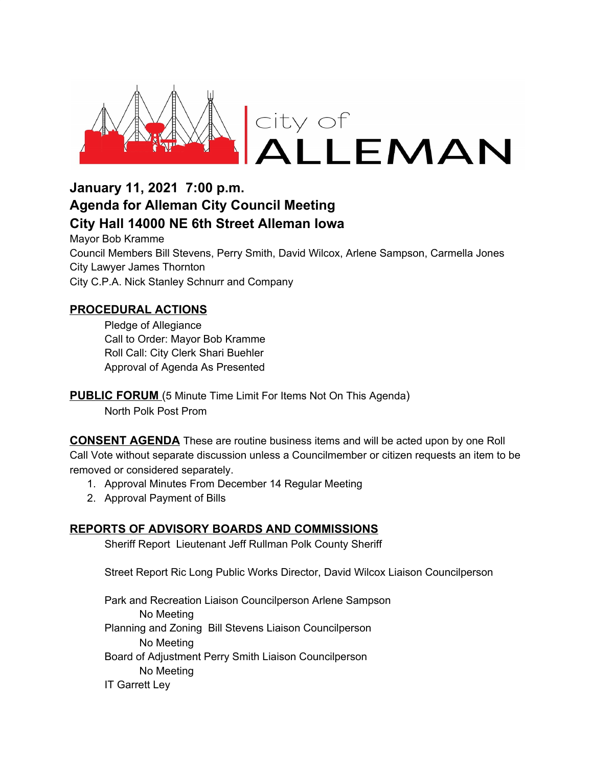

# **January 11, 2021 7:00 p.m. Agenda for Alleman City Council Meeting City Hall 14000 NE 6th Street Alleman Iowa**

Mayor Bob Kramme Council Members Bill Stevens, Perry Smith, David Wilcox, Arlene Sampson, Carmella Jones City Lawyer James Thornton City C.P.A. Nick Stanley Schnurr and Company

### **PROCEDURAL ACTIONS**

Pledge of Allegiance Call to Order: Mayor Bob Kramme Roll Call: City Clerk Shari Buehler Approval of Agenda As Presented

**PUBLIC FORUM** (5 Minute Time Limit For Items Not On This Agenda) North Polk Post Prom

**CONSENT AGENDA** These are routine business items and will be acted upon by one Roll Call Vote without separate discussion unless a Councilmember or citizen requests an item to be removed or considered separately.

- 1. Approval Minutes From December 14 Regular Meeting
- 2. Approval Payment of Bills

#### **REPORTS OF ADVISORY BOARDS AND COMMISSIONS**

Sheriff Report Lieutenant Jeff Rullman Polk County Sheriff

Street Report Ric Long Public Works Director, David Wilcox Liaison Councilperson

Park and Recreation Liaison Councilperson Arlene Sampson No Meeting Planning and Zoning Bill Stevens Liaison Councilperson No Meeting Board of Adjustment Perry Smith Liaison Councilperson No Meeting IT Garrett Ley